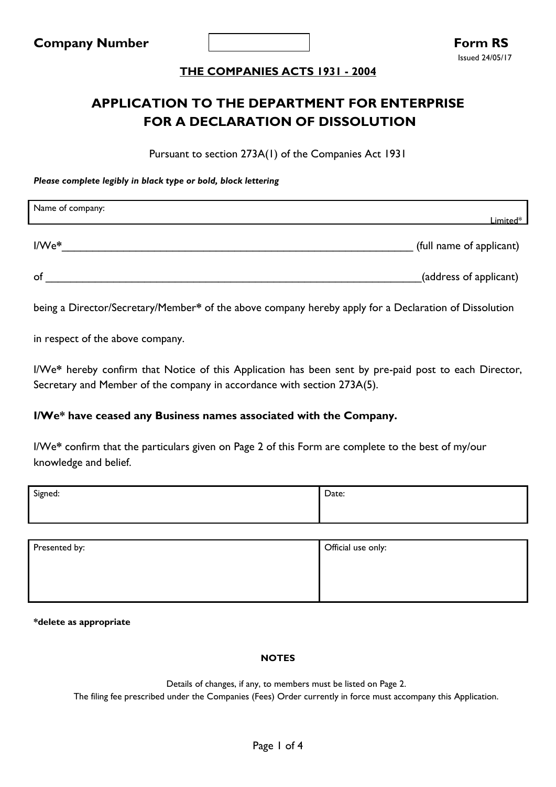# **APPLICATION TO THE DEPARTMENT FOR ENTERPRISE FOR A DECLARATION OF DISSOLUTION**

Pursuant to section 273A(1) of the Companies Act 1931

*Please complete legibly in black type or bold, block lettering*

| Name of company: | Limited*                 |
|------------------|--------------------------|
| I/We*            | (full name of applicant) |
| of               | (address of applicant)   |

being a Director/Secretary/Member**\*** of the above company hereby apply for a Declaration of Dissolution

in respect of the above company.

I/We**\*** hereby confirm that Notice of this Application has been sent by pre-paid post to each Director, Secretary and Member of the company in accordance with section 273A(5).

### **I/We\* have ceased any Business names associated with the Company.**

I/We**\*** confirm that the particulars given on Page 2 of this Form are complete to the best of my/our knowledge and belief.

| Signed: | Date: |
|---------|-------|
|         |       |
|         |       |

| Presented by: | Official use only: |
|---------------|--------------------|
|               |                    |
|               |                    |
|               |                    |

**\*delete as appropriate**

#### **NOTES**

Details of changes, if any, to members must be listed on Page 2.

The filing fee prescribed under the Companies (Fees) Order currently in force must accompany this Application.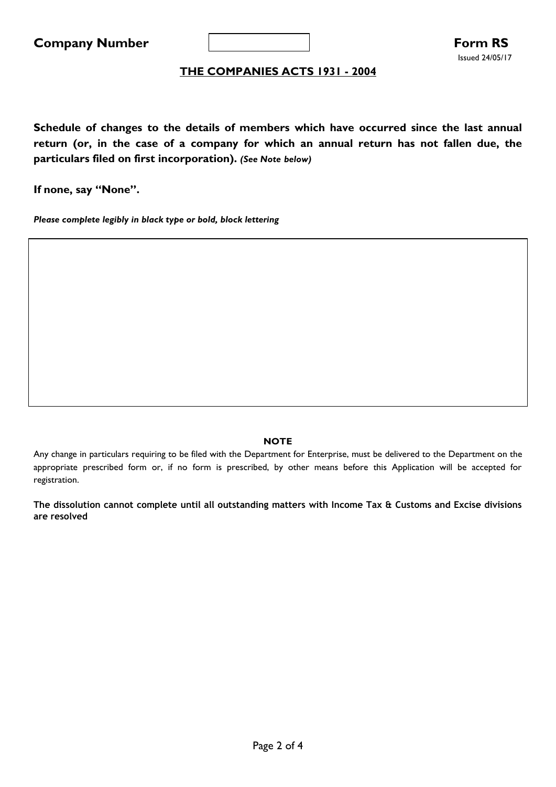

**Schedule of changes to the details of members which have occurred since the last annual return (or, in the case of a company for which an annual return has not fallen due, the particulars filed on first incorporation).** *(See Note below)*

**If none, say "None".**

*Please complete legibly in black type or bold, block lettering*

#### **NOTE**

Any change in particulars requiring to be filed with the Department for Enterprise, must be delivered to the Department on the appropriate prescribed form or, if no form is prescribed, by other means before this Application will be accepted for registration.

**The dissolution cannot complete until all outstanding matters with Income Tax & Customs and Excise divisions are resolved**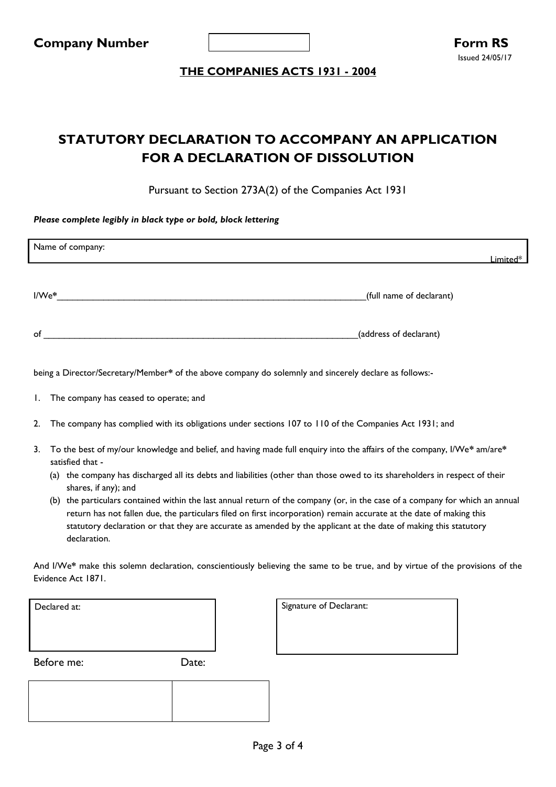

# **STATUTORY DECLARATION TO ACCOMPANY AN APPLICATION FOR A DECLARATION OF DISSOLUTION**

Pursuant to Section 273A(2) of the Companies Act 1931

*Please complete legibly in black type or bold, block lettering*

| Name of company:                                                                                       | Limited $^\ast$          |
|--------------------------------------------------------------------------------------------------------|--------------------------|
| l/We*                                                                                                  | (full name of declarant) |
| of                                                                                                     | (address of declarant)   |
| being a Director/Secretary/Member* of the above company do solemnly and sincerely declare as follows:- |                          |

- 1. The company has ceased to operate; and
- 2. The company has complied with its obligations under sections 107 to 110 of the Companies Act 1931; and
- 3. To the best of my/our knowledge and belief, and having made full enquiry into the affairs of the company, I/We**\*** am/are**\*** satisfied that -
	- (a) the company has discharged all its debts and liabilities (other than those owed to its shareholders in respect of their shares, if any); and
	- (b) the particulars contained within the last annual return of the company (or, in the case of a company for which an annual return has not fallen due, the particulars filed on first incorporation) remain accurate at the date of making this statutory declaration or that they are accurate as amended by the applicant at the date of making this statutory declaration.

And I/We**\*** make this solemn declaration, conscientiously believing the same to be true, and by virtue of the provisions of the Evidence Act 1871.

| Declared at: |       | Signature of Declarant: |
|--------------|-------|-------------------------|
| Before me:   | Date: |                         |
|              |       |                         |